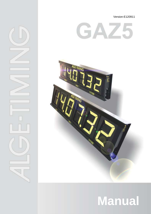Version-E120911



# **Manual**

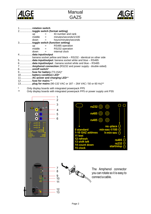



| 1rotation switch            |           |                                                                  |
|-----------------------------|-----------|------------------------------------------------------------------|
|                             |           | 2toggle switch (format setting)                                  |
|                             |           | $up =$ ID-number and rank                                        |
|                             |           | $middle = minutes/seconds/1/100$                                 |
|                             |           | $down = hours/minutes/seconds$                                   |
|                             |           | 3toggle switch (function setting)                                |
|                             | <b>up</b> | $=$ RS485 operation                                              |
|                             |           | $middle =$ RS232 operation                                       |
|                             |           | $down =$ internal clock                                          |
| 4data input/output          |           |                                                                  |
|                             |           | banana socket yellow and black – RS232 - identical on other side |
|                             |           | 5data input/output: banana socket white and blue - RS485         |
|                             |           | 6data input/output: banana socket white and blue - RS485         |
|                             |           | 7 Amphenol connection (RS232 and power supply - double-sided)    |
| 8on/off switch*             |           |                                                                  |
| 9fuse for battery (T3.15A)* |           |                                                                  |
| 10battery condition LED*    |           |                                                                  |
|                             |           | 11 AC-power and charging LED**                                   |
| 12fuse for mains **         |           |                                                                  |
|                             |           |                                                                  |
|                             |           |                                                                  |

\* Only display boards with integrated powerpack PP5

\*\* Only display boards with integrated powerpack PP5 or power supply unit PS5

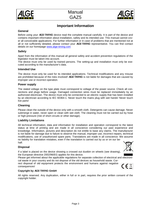



## **Important Information**

#### **General**

Before using your ALGE-TIMING device read the complete manual carefully. It is part of the device and contains important information about installation, safety and its intended use. This manual cannot cover all conceivable applications. For further information or in case of problems that are mentioned not at all or not sufficiently detailed, please contact your ALGE-TIMING representative. You can find contact details on our homepage [www.alge-timing.com](http://www.alge-timing.com/)

#### **Safety**

Apart from the information of this manual all general safety and accident prevention regulations of the legislator must be taken into account.

The device must only be used by trained persons. The setting-up and installation must only be executed according to the manufacturer's data.

#### **Intended Use**

The device must only be used for its intended applications. Technical modifications and any misuse are prohibited because of the risks involved! ALGE-TIMING is not liable for damages that are caused by improper use or incorrect operation.

#### **Power supply**

The stated voltage on the type plate must correspond to voltage of the power source. Check all connections and plugs before usage. Damaged connection wires must be replaced immediately by an authorized electrician. The device must only be connected to an electric supply that has been installed by an electrician according to IEC 60364-1. Never touch the mains plug with wet hands! Never touch live parts!

#### **Cleaning**

Please clean the outside of the device only with a smooth cloth. Detergents can cause damage. Never submerge in water, never open or clean with wet cloth. The cleaning must not be carried out by hose or high-pressure (risk of short circuits or other damage).

#### **Liability Limitations**

All technical information, data and information for installation and operation correspond to the latest status at time of printing and are made in all conscience considering our past experience and knowledge. Information, pictures and description do not entitle to base any claims. The manufacturer is not liable for damage due to failure to observe the manual, improper use, incorrect repairs, technical modifications, use of unauthorized spare parts. Translations are made in all conscience. We assume no liability for translation mistakes, even if the translation is carried out by us or on our behalf.

#### **Disposal**

If a label is placed on the device showing a crossed out dustbin on wheels (see drawing), the European directive 2002/96/EG applies for this device.

Please get informed about the applicable regulations for separate collection of electrical and electronical waste in your country and do not dispose of the old devices as household waste. Cor-

rect disposal of old equipment protects the environment and humans against negative consequences!

#### **Copyright by** ALGE-TIMING **GmbH**

All rights reserved. Any duplication, either in full or in part, requires the prior written consent of the copyright holder.

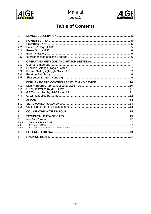



## **Table of Contents**

| 1                                    |  |
|--------------------------------------|--|
| 2<br>2.1<br>2.2<br>2.3<br>2.4<br>2.5 |  |
| 3<br>3.1<br>3.2<br>3.3<br>3.4<br>3.5 |  |
| 4<br>4.1<br>4.2<br>4.3<br>4.4        |  |
| 5<br>5.1<br>5.2                      |  |
| 6                                    |  |
| 7<br>7.1<br>7.1.1<br>7.1.2<br>7.1.3  |  |
| 8                                    |  |
| 9                                    |  |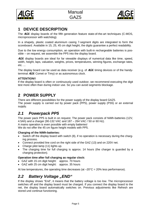



## <span id="page-4-0"></span>**1 DEVICE DESCRIPTION**

The ALGE display boards of the fifth generation feature state-of-the-art techniques (C-MOS, microprocessor with watchdog).

In a shapely, plastic coated aluminium casing 7-segment digits are integrated to form the scoreboard. Available in 15, 25, 45 cm digit height, the digits guarantee a perfect readability.

Due to the low energy consumption, an operation with built-in rechargeable batteries is possible – on request, we assemble the PP5 into the display board.

ALGE display boards are ideal for far viewable displays of numerical data like time, speed, width, height, laps, valuation, weights, prices, temperatures, winning figures, exchange rates, etc. ...

The display board can be used as data receiver (e.g. of ALGE timing devices or of the handyterminal ALGE Comet or Timy) or as autonomous clock.

#### **ATTENTION!!**

If the display board is often or continuously used outdoor, we recommend executing the digit test more often than during indoor use. So you can avoid segments blockage.

## <span id="page-4-1"></span>**2 POWER SUPPLY**

There are different possibilities for the power supply of the display board GAZ5.

The power supply is carried out by power pack (PP5), power supply (PS5) or an external supply.

## <span id="page-4-2"></span>*2.1 Powerpack PP5*

The power pack PP5 is built in on request. The power pack consists of NiMh-batteries (12V, 4.5Ah) and a charger (90-132 VAC and 187 – 264 VAC / 50 or 60 Hz).

A mains operation is even possible with empty batteries!

We do not offer the 45 cm figure height models with PP5.

#### **Charging of the NiMh-batteries:**

- Switch off the display board with switch (8), if no operation is necessary during the charging process.
- Connect provided line cord on the right side of the GAZ (13) and on 220V net.
- Charge pilot lamp (11) lights up.
- The charging time for full charging is approx. 14 hours (the charger is guarded by a charging protection).

#### **Operation time after full charging as regular clock:**

- GAZ with 15 cm digit height: approx. 70 hours
- GAZ with 25 cm digit height: approx. 35 hours

<span id="page-4-3"></span>At low temperatures, the operating time decreases (at  $-20^{\circ}$ C = 20% less performance).

## **2.2 Battery Voltage "END"**

If the display shows "End", it means that the battery voltage is too low. The microprocessor switches off and the display board must be charged. If you connect the display board to the net, the display board automatically switches on. Previous adjustments like Refresh are stored und continue functioning.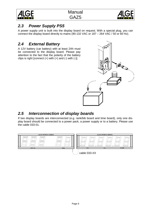



## <span id="page-5-0"></span>*2.3 Power Supply PS5*

A power supply unit is built into the display board on request. With a special plug, you can connect the display board directly to mains (90-132 VAC or 187 – 264 VAC / 50 or 60 Hz).

## <span id="page-5-1"></span>*2.4 External Battery*

A 12V battery (car battery) with at least 2Ah must be connected to the display board. Please pay attention to the fact that the polarity of the battery clips is right  $[connect (+) with (+) and (-) with (-)].$ 



## <span id="page-5-2"></span>*2.5 Interconnection of display boards*

If two display boards are interconnected (e.g. rank/bib board and time board), only one display board should be connected to a power pack, a power supply or to a battery. Please use the cable 033-01.

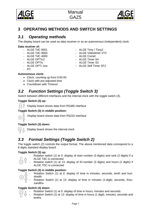



## <span id="page-6-0"></span>**3 OPERATING METHODS AND SWITCH SETTINGS**

## <span id="page-6-1"></span>*3.1 Operating methods*

The display board can be used as data receiver or as an autonomous (independent) clock.

- Data receiver of:<br>**ALGE TdC 8001** 
	-
	- ALGE TdC 4000 ALGE Comet
	- ALGE OPTIc2 ALGE Timer S4
	-
	- ALGE OPTIc<br>- ALGE OPTI 1sw ALGE Self Time
	- PC
- ALGE Timy / Timy 2
- ALGE TdC 8000 ALGE Videotimer VT2
	-
	-
	-
	- ALGE Self Timer SF2

- **Autonomous clock:**
	- Clock, counting up from 0:00.00
	- Clock with pre-adjusted time
	- Countdown with Timeout

## <span id="page-6-2"></span>*3.2 Function Settings (Toggle Switch 3)*

Switch between different interfaces and the internal clock with the toggle switch (3).

#### **Toggle Switch (3) up:**

 $\hat{P}$  Display board shows data from RS485 interface  $\overline{d}$ 

#### **Toggle Switch (3) in middle position:**

Display board shows data from RS232 interface

#### **Toggle Switch (3) down:**

Display board shows the internal clock

## <span id="page-6-3"></span>*3.3 Format Settings (Toggle Switch 2)*

The toggle switch (2) controls the output format. The above mentioned data correspond to a 6 digits standard display board.

#### **Toggle Switch (3) up:**

- Rotation switch (1) at 0: display of start number (3 digits) and rank (2 digits) if a ALGE TdC is connected
- - Rotation switch (1) at 13: display of ID-number (3 digits) and hours (2 digits) if ALGE TDC is connected

#### **Toggle Switch (3) in middle position:**



- Rotation Switch (1) at 0: display of time in minutes, seconds, tenth and hundredth
- Rotation Switch (1) at 13: display of time in minutes (1-digit), seconds, thousandths

#### **Toggle Switch (3) down:**

- Rotation Switch (1) at 0: display of time in hours, minutes and seconds
- Rotation Switch (1) at 13: display of time in hours (1 digit), minutes, seconds and tenths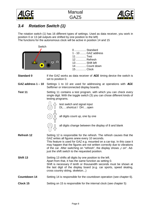



## <span id="page-7-0"></span>*3.4 Rotation Switch (1)*

The rotation switch (1) has 16 different types of settings. Used as data receiver, you work in position 0 or 13 (all outputs are shifted by one position to the left) The functions for the autonomous clock will be active in position 14 and 15



| 0  Standard    |                     |
|----------------|---------------------|
|                | 1 - 10  GAZ address |
| 11 Test        |                     |
| 12 Refresh     |                     |
| 13  Shift left |                     |
|                | 14 Count down       |
| 15 Clock       |                     |

**Standard 0** If the GAZ works as data receiver of **ALGE** timing device the switch is set to position 0.

- **GAZ address 1 – 10** Settings 1 to 10 are used for addressing at operations with ALGE Selftimer or interconnected display boards.
- **Test 11** Setting 11 contains a test program, with which you can check every single digit. With the toggle switch (3) you can chose different kinds of testing programs.



all digits change between the display of 8 and blank

**Refresh 12** Setting 12 is responsible for the refresh. The refresh causes that the GAZ writes all figures anew every 10 seconds. This feature is used for GAZ e.g. mounted on a car-top. In this case it may happen that the figures are not written correctly due to vibrations of the car. After switching on "refresh", the display shows "r on". Adjust the shift switch to the requested position. **Shift 13** Setting 13 shifts all digits by one position to the left. Apart from that, it has the same function as setting 0. Shift is necessary if tenth or thousandth seconds must be shown at the last digit of the display board (e.g. car sports, speed skating, cross country skiing, skeleton...)

#### **Countdown 14** Setting 14 is responsible for the countdown operation (see chapter 6).

#### **Clock 15** Setting on 15 is responsible for the internal clock (see chapter 5)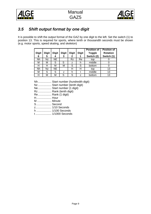



## <span id="page-8-0"></span>*3.5 Shift output format by one digit*

It is possible to shift the output format of the GAZ by one digit to the left. Set the switch (1) to position 13. This is required for sports, where tenth or thousandth seconds must be shown (e.g. motor sports, speed skating, and skeleton)

|              |              |              |              |              |              | <b>Position of</b> | <b>Positon of</b> |
|--------------|--------------|--------------|--------------|--------------|--------------|--------------------|-------------------|
| <b>Digit</b> | <b>Digit</b> | <b>Digit</b> | <b>Digit</b> | <b>Digit</b> | <b>Digit</b> | <b>Toggle</b>      | <b>Rotation</b>   |
| 6            | 5            |              | 3            | 2            |              | Switch (2)         | Switch (1)        |
| Nh           | Nz           | NE.          |              | Rz           | Re           | top                |                   |
| M            | м            | S            | S            | z            | h            | middle             |                   |
| н            | н            | М            | М            | S            | S            | bottom             |                   |
| Nh           | Nz.          | NE.          |              | н            | н            | top                | 13                |
| M            | S            | S            | 7            | h            |              | middle             | 13                |
| Н            | М            | М            | S            | S            | 7            | bottom             | 13                |

Nh................. Start number (hundredth digit)

Nz ................. Start number (tenth digit)

Ne................. Start number (1 digit)

Rz ................. Rank (tenth digit)

Re................. Rank (1 digit)

H................... Hour

M .................. Minute

S................... Second

z.................... 1/10 Seconds

h ................... 1/100 Seconds

t .................... 1/1000 Seconds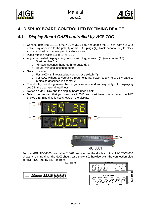

## <span id="page-9-0"></span>**4 DISPLAY BOARD CONTROLLED BY TIMING DEVICE**

## <span id="page-9-1"></span>*4.1 Display Board GAZ5 controlled by* ALGE *TDC*

- Connect data line 010-10 or 037-10 to ALGE TdC and attach the GAZ (4) with a 2-wire cable. Pay attention to the polarity of the GAZ plugs (4), black banana plug to black socket and yellow banana plug to yellow socket.
- Place rotation switch  $(1)$  at  $.0$ " or  $.13$ ".
- Adjust requested display configurations with toggle switch (3) (see chapter 3.3).
	- o Start number / rank
	- o Minutes, seconds, hundredth, (thousandth)
	- o Hours, minutes, seconds (tenth)
- Switch power on
	- o For GAZ with integrated powerpack use switch (7)
	- o For GAZ without powerpack through external power supply (e.g. 12 V battery, mains as described in chapter 2).
- The display board signalizes the program version and subsequently with displaying "ALGE" the operational readiness.
- Switch on **ALGE** TdC and the display board goes blank.
- Select the program that you want use in TdC and start timing. As soon as the TdC shows a running time it also shows on the display.



**TdC 8001** 

For the ALGE TDC4000 use cable 010-01. As soon as the display of the ALGE TDC4000 shows a running time, the GAZ should also show it (otherwise twist the connection plug at ALGE TDC4000 by 180° degrees).

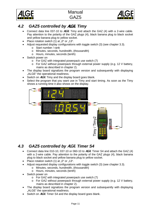

## <span id="page-10-0"></span>*4.2 GAZ5 controlled by* ALGE *Timy*

- Connect data line 037-10 to **AIGE** Timy and attach the GAZ (4) with a 2-wire cable. Pay attention to the polarity of the GAZ plugs (4), black banana plug to black socket and yellow banana plug to yellow socket.
- Place rotation switch  $(1)$  at  $.0$ " or  $.13$ ".
- Adjust requested display configurations with toggle switch (3) (see chapter 3.3).
	- o Start number / rank
	- o Minutes, seconds, hundredth, (thousandth)
	- o Hours, minutes, seconds (tenth)
- Switch power on
	- o For GAZ with integrated powerpack use switch (7)
	- o For GAZ without powerpack through external power supply (e.g. 12 V battery, mains as described in chapter 2).
- The display board signalizes the program version and subsequently with displaying "ALGE" the operational readiness.
- Switch on ALGE Timy and the display board goes blank.
- Select the program that you want use in Timy and start timing. As soon as the Timy shows a running time it also shows on the display.



## <span id="page-10-1"></span>*4.3 GAZ5 controlled by* ALGE *Timer S4*

- Connect data line 010-10, 037-10 or 060-10 to ALGE Timer S4 and attach the GAZ (4) with a 2-wire cable. Pay attention to the polarity of the GAZ plugs (4), black banana plug to black socket and yellow banana plug to yellow socket.
- Place rotation switch  $(1)$  at  $.0$ " or  $.13$ ".
	- Adjust requested display configurations with toggle switch (3) (see chapter 3.3).
		- o Minutes, seconds, hundredth, (thousandth)
			- o Hours, minutes, seconds (tenth)
- Switch power on
	- o For GAZ with integrated powerpack use switch (7)
	- o For GAZ without powerpack through external power supply (e.g. 12 V battery, mains as described in chapter 2).
- The display board signalizes the program version and subsequently with displaying "ALGE" the operational readiness.
- Switch on ALGE Timer S4 and the display board goes blank.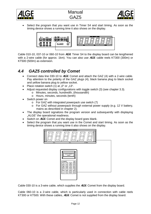



• Select the program that you want use in Timer S4 and start timing. As soon as the timing device shows a running time it also shows on the display.



Cable 010-10, 037-10 or 060-10 from ALGE Timer S4 to the display board can be lengthened with a 2-wire cable (for approx. 1km). You can also use ALGE cable reels KT300 (300m) or KT500 (500m) as extension.

## <span id="page-11-0"></span>*4.4 GAZ5 controlled by Comet*

- Connect data line 030-10 to ALGE Comet and attach the GAZ (4) with a 2-wire cable. Pay attention to the polarity of the GAZ plugs (4), black banana plug to black socket and yellow banana plug to yellow socket.
- Place rotation switch  $(1)$  at  $.0$ " or  $.13$ ".
- Adjust requested display configurations with toggle switch (3) (see chapter 3.3).
	- o Minutes, seconds, hundredth, (thousandth)
	- o Hours, minutes, seconds (tenth)
- Switch power on
	- o For GAZ with integrated powerpack use switch (7)
	- o For GAZ without powerpack through external power supply (e.g. 12 V battery, mains as described in chapter 2).
- The display board signalizes the program version and subsequently with displaying "ALGE" the operational readiness.
- Switch on **ALGE** Comet and the display board goes blank.
- Select the program that you want use in the Comet and start timing. As soon as the timing device shows a running time it also shows on the display.



Cable 030-10 is a 3-wire cable, which supplies the ALGE Comet from the display board.

Cable 060-10 is a 2-wire cable, which is particularly used in connection with cable reels KT300 or KT500. With these cables, ALGE Comet is not supplied from the display board.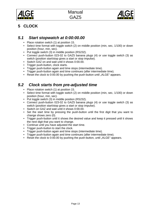



## <span id="page-12-0"></span>**5 CLOCK**

## <span id="page-12-1"></span>*5.1 Start stopwatch at 0:00:00.00*

- Place rotation switch (1) at position 15.
- Select time format with toggle switch (2) on middle position (min, sec, 1/100) or down position (hour, min, sec).
- Put toggle switch (3) in middle position (RS232).
- Connect push-button 023-02 to GAZ5 banana plugs (4) or use toggle switch (3) as switch (position start/stop gives a start or stop impulse).
- Switch GAZ on and wait until it shows 0:00.00.
- Trigger push-button, clock starts.
- Trigger push-button again and time stops (intermediate time).
- Trigger push-button again and time continues (after intermediate time).
- Reset the clock to 0:00.00 by pushing the push-button until "ALGE" appears.

## <span id="page-12-2"></span>*5.2 Clock starts from pre-adjusted time*

- Place rotation switch (1) at position 15.
- Select time format with toggle switch (2) on middle position (min, sec, 1/100) or down position (hour, min, sec).
- Put toggle switch (3) in middle position (RS232).
- Connect push-button 023-02 to GAZ5 banana plugs (4) or use toggle switch (3) as switch (position start/stop gives a start or stop impulse).
- Switch on GAZ and wait until it shows 0:00.00.
- Set the start time by pressing the push-button until the first digit that you want to change shows zero (0).
- Trigger push-button until it shows the desired value and keep it pressed until it shows the next digit that you want to change.
- Continue until you have adjusted the start time.
- Trigger push-button to start the clock.
- Trigger push-button again and time stops (intermediate time).
- Trigger push-button again and time continues (after intermediate time).
- Reset the clock to 0:00.00 by pushing the push-button, until "ALGE" appears.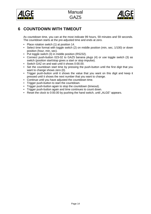



## <span id="page-13-0"></span>**6 COUNTDOWN WITH TIMEOUT**

As countdown time, you can at the most indicate 99 hours, 59 minutes and 59 seconds. The countdown starts at the pre-adjusted time and ends at zero.

- Place rotation switch (1) at position 14.
- Select time format with toggle switch (2) on middle position (min, sec, 1/100) or down position (hour, min, sec).
- Put toggle switch (3) in middle position (RS232).
- Connect push-button 023-02 to GAZ5 banana plugs (4) or use toggle switch (3) as switch (position start/stop gives a start or stop impulse).
- Switch GAZ on and wait until it shows 0:00.00.
- Set the countdown start time by pressing the push-button until the first digit that you want to change shows zero (0).
- Trigger push-button until it shows the value that you want on this digit and keep it pressed until it shows the next number that you want to change.
- Continue until you have adjusted the countdown time.
- Trigger push-button to start the countdown.
- Trigger push-button again to stop the countdown (timeout).
- Trigger push-button again and time continues to count down.
- Reset the clock to 0:00.00 by pushing the hand switch, until "ALGE" appears.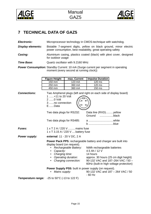



## <span id="page-14-0"></span>**7 TECHNICAL DATA OF GAZ5**

- *Electronic:* Microprocessor technology in CMOS-technique with watchdog.
- **Display elements:** Bistable 7-segment digits, yellow on black ground, minor electric power consumption, best readability, great operating safety
- **Casing:** Aluminium casing, plastics coated (black) with plexi cover, designed for outdoor usage
- **Time Base:** Quartz oscillator with 9.2160 MHz

**Power Consumption:** Standby Current: 10 mA (Surge current per segment in operating moment (every second at running clock))

| <b>Figure Height</b> | max. Current     | Impulse Duration |
|----------------------|------------------|------------------|
| $150 \text{ mm}$     | $123 \text{ mA}$ | $120 \text{ ms}$ |
| 250 mm               | 360 mA           | $120 \text{ ms}$ |
| 450 mm               | 360 mA           | $150 \text{ ms}$ |

**Connections:** Two Amphenol plugs (left and right on each side of display board)

- 1 ......+11 to 20 Volt 2 ......0 Volt
- 3 ......no connection E......Data
- Lo  $\Omega$ 30

Two data plugs for RS232: Data line (RXD).........yellow Ground .................black Two data plugs for RS485: a ...............................white b ...............................blue **Fuses:** 1 x T 2 A / 220 V ......... mains fuse

1 x T 3.15 A / 220 V ....battery fuse

*Power supply:* **external**: 11 - 20 V DC, 2 A

**Power Pack PP5:** rechargeable battery and charger are built into display board (on request).

- *Rechargeable Battery:* NiMh rechargeable batteries • *Capacity:* 4.5 Ah / 12 V
- *Charging time:* 14 hours
- *Operating duration:* approx. 30 hours (25 cm digit height)
- *Charging connection:* 90-132 VAC and 187–264 VAC / 50 60Hz (built-in high voltage protection)

**Power Supply PS5:** built in power supply (on request).

- 
- *Mains supply:* 90-132 VAC and 187 264 VAC / 50 - 60 Hz

*Temperature range:* -25 to 50°C (-13 to 122 F)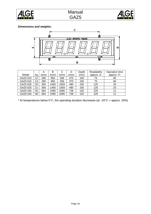



### *Dimensions and weights:*



|          |    | Α   | B    |      | D   | Depth | Readability | Operation time |  |  |
|----------|----|-----|------|------|-----|-------|-------------|----------------|--|--|
| Model    | kq | mm) | (mm) | (mm) | mm) | (mm)  | approx. m   | approx. h*     |  |  |
| GAZ5 515 | 12 | 290 | 956  | 556  | 375 | 100   | 60          |                |  |  |
| GAZ5 615 | 13 | 290 | 956  | 556  | 375 | 100   | 75          | 60             |  |  |
| GAZ5 525 | 20 | 393 | 1493 | 1093 | 480 | 100   | 125         | 20             |  |  |
| GAZ5 625 | 21 | 393 | 1493 | 1093 | 480 | 100   | 125         | 20             |  |  |
| GAZ5 545 | 45 | 664 | 2490 | 2090 | 738 | 120   | 225         | 11             |  |  |
| GAZ5 645 | 48 | 664 | 2490 | 2090 | 738 | 120   | 225         | 11             |  |  |

\* At temperatures below 0°C, the operating duration decreases (at  $-20$ °C = approx. 20%)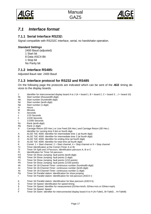



## <span id="page-16-0"></span>*7.1 Interface format*

#### <span id="page-16-1"></span>**7.1.1 Serial Interface RS232:**

Signal compatible with RS232C interface, serial, no handshake operation.

#### *Standard Settings*

2400 Baud (adjusted) 1 Start bit 8 Data ASCII-Bit 1 Stop bit No Parity bit

### <span id="page-16-2"></span>**7.1.2 Interface RS485:**

<span id="page-16-3"></span>Adjusted Baud rate: 2400 Baud

### **7.1.3 Interface protocol for RS232 and RS485**

On the following page the protocols are indicated which can be sent of the ALGE timing devices to the display boards.

- J Identifier for interconnected display board A to J (A = board 1, B = board 2, C = board 3... J = board 10)<br>Nt Start number (thousandth-digit)
- Start number (thousandth-digit)
- Nh Start number (hundredth-digit)<br>Nz Start number (tenth-digit)
- Nz Start number (tenth-digit)<br>Ne Start number (1-digit)
- Start number (1-digit)
- H Hours
- M Minutes<br>S Seconds
- Seconds
- z 1/10 Seconds
- h 1/100 Seconds
- t 1/1000 Seconds<br>Rz Rank (tenth-digit Rank (tenth-digit)
- 
- Re Rank (1-digit)<br>X Carriage Retu Carriage Return (0D Hex.) or Line Feed (0A Hex.) and Carriage Return (0D Hex.)
- . Identifier for running time if dot on fourth digit.
- A ALGE TdC 4000: Identifier for intermediate time 1 (at fourth digit)<br>B ALGE TdC 4000: Identifier for intermediate time 2 (at fourth digit)
- B ALGE TdC 4000: Identifier for intermediate time 2 (at fourth digit)<br>C ALGE TdC 4000: Identifier for ending time (at fourth digit)
- C ALGE TdC 4000: Identifier for ending time (at fourth digit)<br>D ALGE TdC 4000: Identifier for total time (at fourth digit)
- D ALGE TdC 4000: Identifier for total time (at fourth digit)<br>K Comet:  $1 =$  Start channel.  $2 =$  Start channel.  $4 =$  Stop c
- Comet: 1 = Start channel, 2 = Start channel, 4 = Stop channel or 8 = Stop channel
- Tc Timer identification at the Comet (Timer A or B)
- Tt Timer S4 Split and 3-Parcours: Identification parcours A, B or C<br>Pr Identification for Timer S4 parcours
- Pr Identification for Timer S4 parcours<br>PZ Timer S4 Show Jumping: fault point
- Timer S4 Show Jumping: fault points (tenth-digit)
- PE Timer S4 Show Jumping: fault points (1-digit)
- Pz Timer S4 Show Jumping: fault points (1/10 points)<br>Ph Timer S4 Show Jumping: fault points (1/100 points
- Ph Timer S4 Show Jumping: fault points (1/100 points)<br>
#h Timer S4 18-Channel-Timer: continuous number (h
- #h Timer S4 18-Channel-Timer: continuous number (hundredth-digit)
- #z Timer S4 18-Channel-Timer: continuous number (tenth-digit)
- Timer S4 18-Channel-Timer: continuous number (1-digit)
- Pp Timer S4 Parallel slalom: Identification for show jumping
- r Timer S4 Parallel slalom: Identification for red parcours (ASCII r)
- b Timer S4 Parallel slalom: Identification for blue parcours (ASCII b)<br>S Timer S4 Speed: Identification for speed timing
- Timer S4 Speed: Identification for speed timing
- S Timer S4 Speed: Identifier for measurement (01Hex=km/h, 02Hex=m/s or 03Hex=mph)<br>Z Timer S4 Speed: Speed<br>F Timer S4 Swim: Identifier for interconnected display board A to H (A-Tafel1, B-Tafel2
- Timer S4 Speed: Speed
- Timer S4 Swim: Identifier for interconnected display board A to H (A=Tafel1, B=Tafel2... H=Tafel8)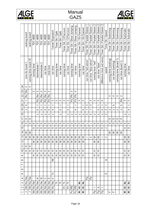

## **Manual** GAZ5



|                | ranking board            | ranking board            | TDC 4000                 | TDC 4000                 | TDC 4000                 | TDC 4000                 | TDC 4000         | Comet Stopwatch | Timer S4 / Split     | Timer S4 / Split | Timer S4 / 3-Parcours | Timer S4 / 3-Parcours    | Timer S4 / Show Jumping | Timer S4 / Show Jumping  | Timer S4 / 18-Channel | Timer S4 / 18-Channel | Timer S4 / Parallel Slalom 1 | Timer S4 / Parallel Slalom 1 | Timer S4 / Parallel Slalom 2 | Timer S4 / Parallel Slalom 2 | Timer S4 / Parallel Slalom 3 | Timer S4 / Speed | Timer S4 / Swimming    | Timer S4 / Swimming | Timer S4 / Swimming    | Timer S4 / Swimming | Timer S4 / Automatic | Timer S4 / Automatic |
|----------------|--------------------------|--------------------------|--------------------------|--------------------------|--------------------------|--------------------------|------------------|-----------------|----------------------|------------------|-----------------------|--------------------------|-------------------------|--------------------------|-----------------------|-----------------------|------------------------------|------------------------------|------------------------------|------------------------------|------------------------------|------------------|------------------------|---------------------|------------------------|---------------------|----------------------|----------------------|
|                | time for board           | running time board 10    | running time             | ٣<br>intermediate        | intermediate 2           | run time                 | total time       | run time        | running time         | run time         | running time          | run time                 | running time            | run time                 | running time          | run time              | run time "red winns"         | run time "blue winns"        | "running time "red"          | "blue" emit nun              | difference time red winns    | speed            | running time (ranking) | run time (ranking)  | running time (board 1) | run time (board 1)  | running time         | run time             |
| $\mathbb{Z}^4$ | ×                        | $\times$                 |                          |                          |                          |                          |                  |                 |                      |                  |                       |                          |                         |                          |                       |                       |                              |                              |                              |                              |                              |                  |                        |                     |                        |                     |                      |                      |
| R              | å                        |                          | $\times$                 | ×                        | ×                        | $\times$                 | ×                |                 |                      |                  |                       |                          | ×                       | $\times$                 |                       |                       |                              |                              |                              |                              |                              |                  |                        |                     |                        |                     |                      |                      |
| 22             | Rz                       |                          |                          | œ                        | œ                        | œ                        | æ                |                 |                      |                  |                       |                          | 준                       | 준                        |                       |                       |                              |                              |                              |                              |                              |                  | ×                      | $\times$            | $\times$               | $\times$            |                      |                      |
| 21             | $\overline{\phantom{0}}$ |                          |                          | Rz                       | Rz                       | Rz                       | Rz               | $\times$        | $\times$             | ×                | $\times$              | ×                        | P <sub>2</sub>          | Pz                       | ×                     | ×                     |                              | ×                            | ×                            | ×                            | ᇰ                            |                  |                        |                     |                        | å                   | $\times$             | $\times$             |
| R              | £,                       |                          |                          | $\overline{\phantom{0}}$ | $\overline{\phantom{0}}$ | $\overline{\phantom{0}}$ | ÷                | ÷               |                      | $\ddot{}$        |                       | $\overline{\phantom{0}}$ |                         | $\overline{\phantom{0}}$ |                       | +                     | ×                            | ×                            |                              | ÷                            | ÷                            | ×                |                        | ᆂ                   |                        | ᇰ                   |                      | $\overline{ }$       |
| ö              | Z                        |                          |                          | ᅐ                        | Ξ.                       | ᅩ                        | ᇰ                | ᇰ               |                      | ᇰ                |                       | ᅐ                        |                         | ᇰ                        |                       | ᇰ                     | $\overline{\phantom{0}}$     | ÷                            |                              | ᅩ                            | Ξ.                           | Ν                | Ν                      | Ν                   | Ν                      | Z                   |                      | ᅩ                    |
| ₽              |                          |                          |                          | И                        | Ν                        | Ν                        | М                | Ν               |                      | Ν                |                       | Ν                        | Ν                       | М                        | Z                     | Ν                     | ᇰ                            | ᅩ                            | И                            | М                            | Z                            | Z                |                        |                     |                        |                     | Ν                    | Ν                    |
| 17             | s                        | S                        |                          |                          |                          |                          |                  |                 |                      |                  |                       |                          |                         |                          |                       |                       |                              |                              |                              |                              |                              |                  | w                      | S                   | S                      | S                   |                      |                      |
| 16             | w                        | S                        | ω                        | S                        | ω                        | S                        | ω                | S               | ω                    | S                | S                     | ω                        | S                       | S                        | S                     | S                     | Z                            | Ν                            | ω                            | S                            | w                            | Z                | ω                      | S                   | S                      | S                   | ω                    | S                    |
| 뜯              |                          | $\cdot$ .                | w                        | S                        | ω                        | $\omega$                 | ω                | ω               | ω                    | S                | S                     | ω                        | ω                       | S                        | ω                     | ω                     | ω                            | ω                            | ω                            | S                            | ω                            | Z                | $\ddot{\phantom{0}}$   | $\cdot$ .           | $\ddot{\phantom{0}}$   |                     | w                    | S                    |
| $\frac{4}{3}$  | Σ                        | Σ                        |                          |                          |                          |                          |                  |                 | . .                  |                  | . .                   |                          | . .                     |                          |                       |                       |                              |                              |                              | Ω,                           | . .                          |                  | Σ                      | Σ                   | Σ                      | Σ                   | $\cdot$ .            |                      |
| $\infty$       | Σ                        | Σ                        | Σ                        | Σ                        | Σ                        | Σ                        | Σ                | Σ               | Σ                    | Σ                | Σ                     | Σ                        | Σ                       | Σ                        | Σ                     | Σ                     | r.                           | م                            | Σ                            | Σ                            | r.                           | $\overline{z}$   |                        |                     |                        |                     | Σ                    | Σ                    |
| 12             |                          | $\cdot$ .                | Σ                        | Σ                        | Σ                        | Σ                        | Σ                | Σ               | Σ                    | Σ                | Σ                     | Σ                        | Σ                       | Σ                        | Σ                     | Σ                     |                              |                              | Σ                            | Σ                            |                              |                  |                        |                     |                        |                     | Σ                    | Σ                    |
| Ξ              | I                        | I                        | . .                      |                          |                          |                          |                  |                 | $\ddot{\phantom{0}}$ |                  |                       |                          | $\ddot{\phantom{0}}$    |                          |                       | $\ddot{\phantom{0}}$  |                              |                              |                              |                              |                              |                  |                        |                     |                        |                     | $\ddot{\phantom{0}}$ |                      |
| ₽              | I                        | I                        | I                        | I                        | I                        | I                        | ェ                | I               | I                    | I                | I                     | ェ                        | I                       | I                        | I                     | ェ                     |                              |                              | ᆂ                            | ェ                            |                              |                  |                        |                     |                        |                     | エ                    | I                    |
| တ              |                          |                          | I                        | I                        | I                        | I                        | I                | I               | I                    | I                | I                     | ᆂ                        | I                       | I                        | I                     | I                     |                              |                              | エ                            | ェ                            |                              |                  |                        |                     |                        |                     | ᆂ                    | I                    |
| œ              |                          |                          |                          |                          |                          |                          |                  | ž               |                      |                  |                       |                          |                         |                          |                       |                       |                              |                              |                              |                              |                              | es               |                        |                     |                        |                     |                      |                      |
| r-             |                          |                          |                          |                          |                          |                          |                  |                 |                      |                  |                       |                          |                         |                          |                       |                       |                              |                              |                              |                              |                              |                  |                        |                     |                        |                     |                      |                      |
| ω              |                          |                          |                          |                          |                          |                          |                  |                 |                      |                  |                       |                          |                         |                          |                       |                       |                              |                              |                              |                              |                              |                  |                        |                     |                        |                     |                      |                      |
| Ю              |                          |                          |                          |                          |                          |                          |                  | ع               |                      |                  |                       |                          |                         |                          |                       |                       |                              |                              |                              |                              |                              | w                |                        |                     |                        |                     |                      |                      |
| 4              | ے<br>ح                   | €                        |                          | ∢                        | ⅏                        | $\circ$                  | ≏                | ×               |                      |                  |                       |                          |                         |                          |                       |                       | 운                            | 운                            |                              |                              |                              |                  |                        |                     |                        |                     |                      |                      |
| O              | ž                        | $\frac{1}{2}$            | ž                        | ے<br>2                   | ے<br>2                   | ے<br>ح                   | ž                | ے<br>ح          | 亡                    | $\leftarrow$     | Ë                     | Ë                        |                         |                          | #                     | #                     |                              |                              |                              |                              |                              |                  |                        |                     |                        |                     | #                    | #                    |
| $\sim$         | ₹                        | ź                        | $\frac{1}{2}$            | $\frac{1}{2}$            | $\frac{1}{2}$            | $\frac{1}{2}$            | ž                | $\frac{1}{2}$   |                      |                  | ò                     | ò                        | 씬                       | 뿐                        | 书                     | 书                     |                              |                              | r                            | م                            | r.                           |                  |                        |                     |                        |                     | 书                    | #2                   |
| $\overline{ }$ | $\overline{\phantom{0}}$ | $\overline{\phantom{a}}$ | $\overline{\tilde{\Xi}}$ | $\overline{\Xi}$         | ₹                        | $\lessgtr$               | $\overline{\Xi}$ | ₹               |                      |                  |                       |                          | 요                       | P,                       | 毛                     | 巷                     |                              |                              | 운                            | $\mathbb{a}$                 | $\mathbf{q}$                 |                  | Щ.                     | щ                   |                        |                     | 巷                    | 毛                    |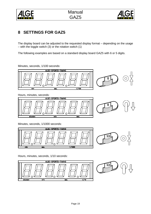



## <span id="page-18-0"></span>**8 SETTINGS FOR GAZ5**

The display board can be adjusted to the requested display format – depending on the usage – with the toggle switch (3) or the rotation switch (1)

The following examples are based on a standard display board GAZ5 with 6 or 5 digits.

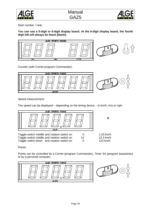



Start number / rank:

**You can use a 5-digit or 6-digit display board. At the 6-digit display board, the fourth digit left will always be black (blank).**



Counter (with Comet program Commander):



Speed measurement:

The speed can be displayed – depending on the timing device – in km/h, m/s or mph.

| ALGE-SPORTS-TIMING                                |             |
|---------------------------------------------------|-------------|
|                                                   |             |
| km/h                                              |             |
| Toggle switch middle and rotation switch on       | $1.23$ km/h |
| Toggle switch middle and rotation switch on<br>13 | 12.3 km/h   |
| Toggle switch down and rotation switch on         | 123 km/h    |

Points:

Points can be controlled by a Comet (program Commander), Timer S4 (program equestrian) or by a personal computer.

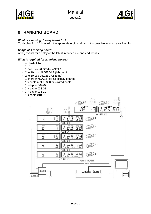



## <span id="page-20-0"></span>**9 RANKING BOARD**

#### *What is a ranking display board for?*

To display 2 to 10 lines with the appropriate bib and rank. It is possible to scroll a ranking list.

#### *Usage of a ranking board:*

At big events for display of the latest intermediate and end results.

#### *What is required for a ranking board?*

- 1 ALGE TdC
- $1 PC$
- 1 Software ALGE-TimeNET2
- 2 to 10 pcs. ALGE GAZ (bib / rank)
- 2 to 10 pcs. ALGE GAZ (time)
- 1 charger NGAZ/R for all display boards
- 1 x cable reel KT300 or 2-wired cable
- 1 adapter 069-02
- X x cable 033-01
- X x cable 033-10
- 1 x cable 010-01